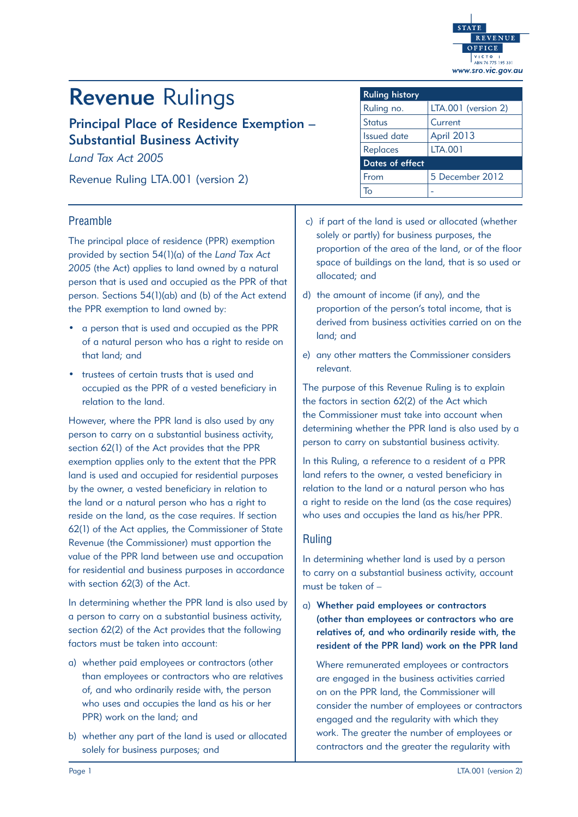

# Revenue Rulings

Principal Place of Residence Exemption – Substantial Business Activity

*Land Tax Act 2005* 

Revenue Ruling LTA.001 (version 2)

## Preamble

The principal place of residence (PPR) exemption provided by section 54(1)(a) of the *Land Tax Act 2005* (the Act) applies to land owned by a natural person that is used and occupied as the PPR of that person. Sections 54(1)(ab) and (b) of the Act extend the PPR exemption to land owned by:

- a person that is used and occupied as the PPR of a natural person who has a right to reside on that land; and
- trustees of certain trusts that is used and occupied as the PPR of a vested beneficiary in relation to the land.

However, where the PPR land is also used by any person to carry on a substantial business activity, section 62(1) of the Act provides that the PPR exemption applies only to the extent that the PPR land is used and occupied for residential purposes by the owner, a vested beneficiary in relation to the land or a natural person who has a right to reside on the land, as the case requires. If section 62(1) of the Act applies, the Commissioner of State Revenue (the Commissioner) must apportion the value of the PPR land between use and occupation for residential and business purposes in accordance with section 62(3) of the Act.

In determining whether the PPR land is also used by a person to carry on a substantial business activity, section 62(2) of the Act provides that the following factors must be taken into account:

- a) whether paid employees or contractors (other than employees or contractors who are relatives of, and who ordinarily reside with, the person who uses and occupies the land as his or her PPR) work on the land; and
- b) whether any part of the land is used or allocated solely for business purposes; and

| <b>Ruling history</b> |                     |
|-----------------------|---------------------|
| Ruling no.            | LTA.001 (version 2) |
| <b>Status</b>         | Current             |
| <b>Issued date</b>    | <b>April 2013</b>   |
| <b>Replaces</b>       | <b>LTA.001</b>      |
| Dates of effect       |                     |
| From                  | 5 December 2012     |
|                       |                     |

- c) if part of the land is used or allocated (whether solely or partly) for business purposes, the proportion of the area of the land, or of the floor space of buildings on the land, that is so used or allocated; and
- d) the amount of income (if any), and the proportion of the person's total income, that is derived from business activities carried on on the land; and
- e) any other matters the Commissioner considers relevant.

The purpose of this Revenue Ruling is to explain the factors in section 62(2) of the Act which the Commissioner must take into account when determining whether the PPR land is also used by a person to carry on substantial business activity.

In this Ruling, a reference to a resident of a PPR land refers to the owner, a vested beneficiary in relation to the land or a natural person who has a right to reside on the land (as the case requires) who uses and occupies the land as his/her PPR.

## Ruling

In determining whether land is used by a person to carry on a substantial business activity, account must be taken of –

a) Whether paid employees or contractors (other than employees or contractors who are relatives of, and who ordinarily reside with, the resident of the PPR land) work on the PPR land

Where remunerated employees or contractors are engaged in the business activities carried on on the PPR land, the Commissioner will consider the number of employees or contractors engaged and the regularity with which they work. The greater the number of employees or contractors and the greater the regularity with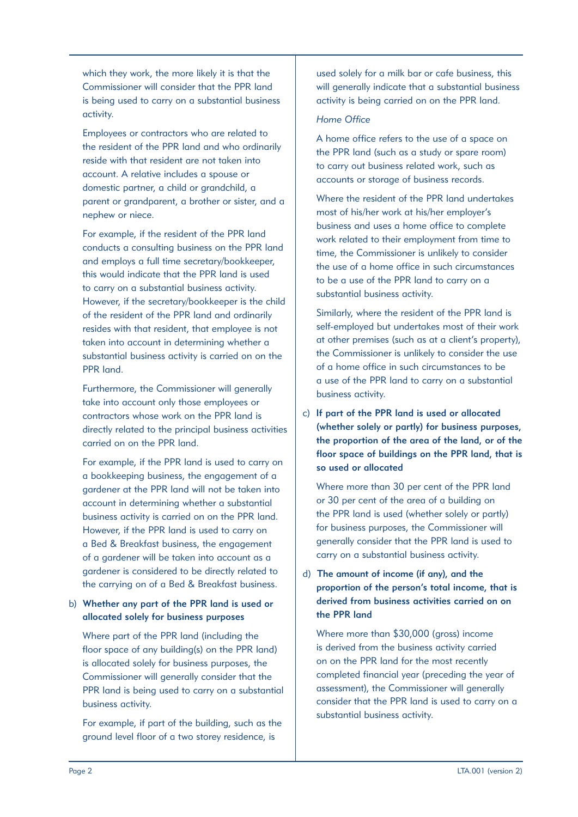which they work, the more likely it is that the Commissioner will consider that the PPR land is being used to carry on a substantial business activity.

Employees or contractors who are related to the resident of the PPR land and who ordinarily reside with that resident are not taken into account. A relative includes a spouse or domestic partner, a child or grandchild, a parent or grandparent, a brother or sister, and a nephew or niece.

For example, if the resident of the PPR land conducts a consulting business on the PPR land and employs a full time secretary/bookkeeper, this would indicate that the PPR land is used to carry on a substantial business activity. However, if the secretary/bookkeeper is the child of the resident of the PPR land and ordinarily resides with that resident, that employee is not taken into account in determining whether a substantial business activity is carried on on the PPR land.

Furthermore, the Commissioner will generally take into account only those employees or contractors whose work on the PPR land is directly related to the principal business activities carried on on the PPR land.

For example, if the PPR land is used to carry on a bookkeeping business, the engagement of a gardener at the PPR land will not be taken into account in determining whether a substantial business activity is carried on on the PPR land. However, if the PPR land is used to carry on a Bed & Breakfast business, the engagement of a gardener will be taken into account as a gardener is considered to be directly related to the carrying on of a Bed & Breakfast business.

## b) Whether any part of the PPR land is used or allocated solely for business purposes

Where part of the PPR land (including the floor space of any building(s) on the PPR land) is allocated solely for business purposes, the Commissioner will generally consider that the PPR land is being used to carry on a substantial business activity.

For example, if part of the building, such as the ground level floor of a two storey residence, is

used solely for a milk bar or cafe business, this will generally indicate that a substantial business activity is being carried on on the PPR land.

## *Home Office*

A home office refers to the use of a space on the PPR land (such as a study or spare room) to carry out business related work, such as accounts or storage of business records.

Where the resident of the PPR land undertakes most of his/her work at his/her employer's business and uses a home office to complete work related to their employment from time to time, the Commissioner is unlikely to consider the use of a home office in such circumstances to be a use of the PPR land to carry on a substantial business activity.

Similarly, where the resident of the PPR land is self-employed but undertakes most of their work at other premises (such as at a client's property), the Commissioner is unlikely to consider the use of a home office in such circumstances to be a use of the PPR land to carry on a substantial business activity.

c) If part of the PPR land is used or allocated (whether solely or partly) for business purposes, the proportion of the area of the land, or of the floor space of buildings on the PPR land, that is so used or allocated

Where more than 30 per cent of the PPR land or 30 per cent of the area of a building on the PPR land is used (whether solely or partly) for business purposes, the Commissioner will generally consider that the PPR land is used to carry on a substantial business activity.

d) The amount of income (if any), and the proportion of the person's total income, that is derived from business activities carried on on the PPR land

Where more than \$30,000 (gross) income is derived from the business activity carried on on the PPR land for the most recently completed financial year (preceding the year of assessment), the Commissioner will generally consider that the PPR land is used to carry on a substantial business activity.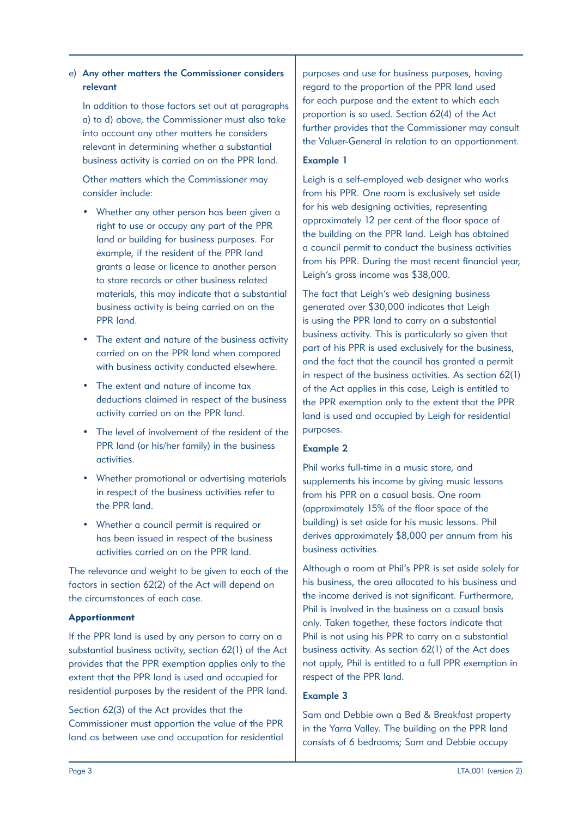# e) Any other matters the Commissioner considers relevant

In addition to those factors set out at paragraphs a) to d) above, the Commissioner must also take into account any other matters he considers relevant in determining whether a substantial business activity is carried on on the PPR land.

Other matters which the Commissioner may consider include:

- Whether any other person has been given a right to use or occupy any part of the PPR land or building for business purposes. For example, if the resident of the PPR land grants a lease or licence to another person to store records or other business related materials, this may indicate that a substantial business activity is being carried on on the PPR land.
- The extent and nature of the business activity carried on on the PPR land when compared with business activity conducted elsewhere.
- The extent and nature of income tax deductions claimed in respect of the business activity carried on on the PPR land.
- The level of involvement of the resident of the PPR land (or his/her family) in the business activities.
- Whether promotional or advertising materials in respect of the business activities refer to the PPR land.
- • Whether a council permit is required or has been issued in respect of the business activities carried on on the PPR land.

The relevance and weight to be given to each of the factors in section 62(2) of the Act will depend on the circumstances of each case.

#### Apportionment

If the PPR land is used by any person to carry on a substantial business activity, section 62(1) of the Act provides that the PPR exemption applies only to the extent that the PPR land is used and occupied for residential purposes by the resident of the PPR land.

Section 62(3) of the Act provides that the Commissioner must apportion the value of the PPR land as between use and occupation for residential purposes and use for business purposes, having regard to the proportion of the PPR land used for each purpose and the extent to which each proportion is so used. Section 62(4) of the Act further provides that the Commissioner may consult the Valuer-General in relation to an apportionment.

## Example 1

Leigh is a self-employed web designer who works from his PPR. One room is exclusively set aside for his web designing activities, representing approximately 12 per cent of the floor space of the building on the PPR land. Leigh has obtained a council permit to conduct the business activities from his PPR. During the most recent financial year, Leigh's gross income was \$38,000.

The fact that Leigh's web designing business generated over \$30,000 indicates that Leigh is using the PPR land to carry on a substantial business activity. This is particularly so given that part of his PPR is used exclusively for the business, and the fact that the council has granted a permit in respect of the business activities. As section 62(1) of the Act applies in this case, Leigh is entitled to the PPR exemption only to the extent that the PPR land is used and occupied by Leigh for residential purposes.

## Example 2

Phil works full-time in a music store, and supplements his income by giving music lessons from his PPR on a casual basis. One room (approximately 15% of the floor space of the building) is set aside for his music lessons. Phil derives approximately \$8,000 per annum from his business activities.

Although a room at Phil's PPR is set aside solely for his business, the area allocated to his business and the income derived is not significant. Furthermore, Phil is involved in the business on a casual basis only. Taken together, these factors indicate that Phil is not using his PPR to carry on a substantial business activity. As section 62(1) of the Act does not apply, Phil is entitled to a full PPR exemption in respect of the PPR land.

## Example 3

Sam and Debbie own a Bed & Breakfast property in the Yarra Valley. The building on the PPR land consists of 6 bedrooms; Sam and Debbie occupy